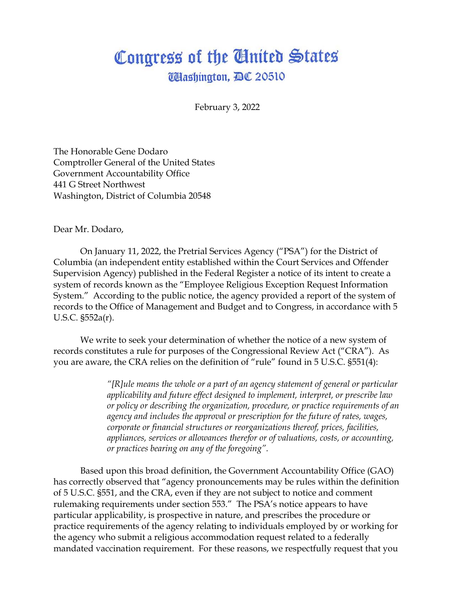## Congress of the United States **Ullashington, AC 20510**

February 3, 2022

The Honorable Gene Dodaro Comptroller General of the United States Government Accountability Office 441 G Street Northwest Washington, District of Columbia 20548

Dear Mr. Dodaro,

On January 11, 2022, the Pretrial Services Agency ("PSA") for the District of Columbia (an independent entity established within the Court Services and Offender Supervision Agency) published in the Federal Register a notice of its intent to create a system of records known as the "Employee Religious Exception Request Information System." According to the public notice, the agency provided a report of the system of records to the Office of Management and Budget and to Congress, in accordance with 5 U.S.C. §552a(r).

We write to seek your determination of whether the notice of a new system of records constitutes a rule for purposes of the Congressional Review Act ("CRA"). As you are aware, the CRA relies on the definition of "rule" found in 5 U.S.C. §551(4):

> *"[R]ule means the whole or a part of an agency statement of general or particular applicability and future effect designed to implement, interpret, or prescribe law or policy or describing the organization, procedure, or practice requirements of an agency and includes the approval or prescription for the future of rates, wages, corporate or financial structures or reorganizations thereof, prices, facilities, appliances, services or allowances therefor or of valuations, costs, or accounting, or practices bearing on any of the foregoing".*

Based upon this broad definition, the Government Accountability Office (GAO) has correctly observed that "agency pronouncements may be rules within the definition of 5 U.S.C. §551, and the CRA, even if they are not subject to notice and comment rulemaking requirements under section 553." The PSA's notice appears to have particular applicability, is prospective in nature, and prescribes the procedure or practice requirements of the agency relating to individuals employed by or working for the agency who submit a religious accommodation request related to a federally mandated vaccination requirement. For these reasons, we respectfully request that you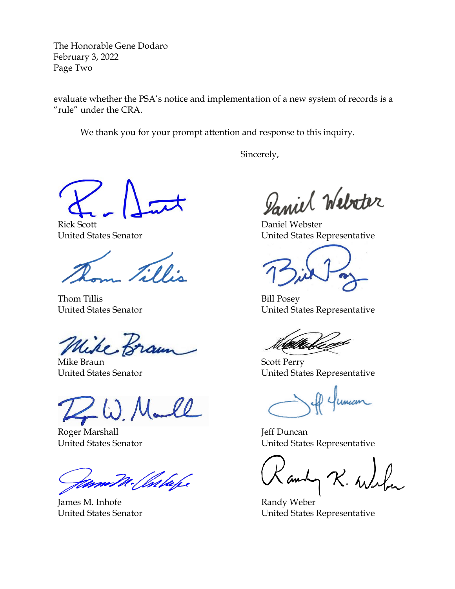The Honorable Gene Dodaro February 3, 2022 Page Two

evaluate whether the PSA's notice and implementation of a new system of records is a "rule" under the CRA.

We thank you for your prompt attention and response to this inquiry.

Sincerely,

Rick Scott United States Senator

Ellis

Thom Tillis United States Senator

Wike, Braun

Mike Braun United States Senator

W.M.

Roger Marshall United States Senator

Valuh,

James M. Inhofe United States Senator

Daniel Webster

Daniel Webster United States Representative

Bill Posey United States Representative

Scott Perry United States Representative

Jeff Duncan United States Representative

andy

Randy Weber United States Representative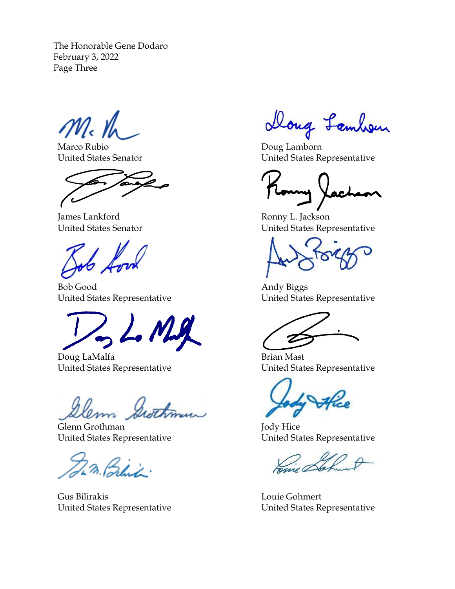The Honorable Gene Dodaro February 3, 2022 Page Three

 $M_{\rm c}$  the

Marco Rubio United States Senator

James Lankford United States Senator

Bob Good United States Representative

L. M.g

Doug LaMalfa United States Representative

Glenn Grothman United States Representative

23. Blit.

Gus Bilirakis United States Representative

Doug Lambon

Doug Lamborn United States Representative

Ronny L. Jackson United States Representative

Andy Biggs United States Representative

Brian Mast United States Representative

Jody Hice United States Representative

Louie Gohmert United States Representative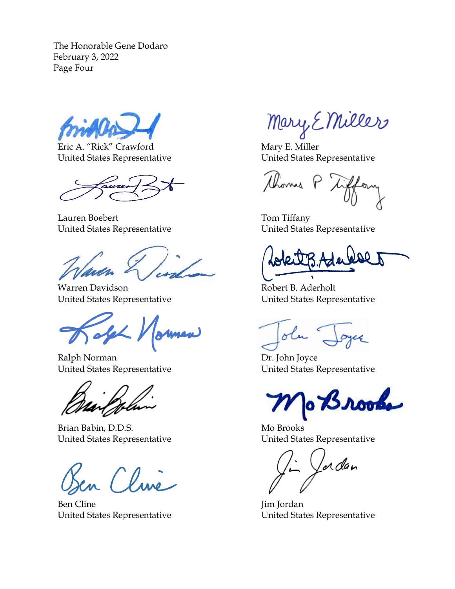The Honorable Gene Dodaro February 3, 2022 Page Four

Eric A. "Rick" Crawford United States Representative

Lauren Boebert United States Representative

Warren Davidson United States Representative

Safeh 1

Ralph Norman United States Representative

Brian Babin, D.D.S. United States Representative

Clave

Ben Cline United States Representative

Mary E Miller

Mary E. Miller United States Representative

thomas P

Tom Tiffany United States Representative

Robert B. Aderholt United States Representative

olu

Dr. John Joyce United States Representative

o Brooks

Mo Brooks United States Representative

Jordan

Jim Jordan United States Representative